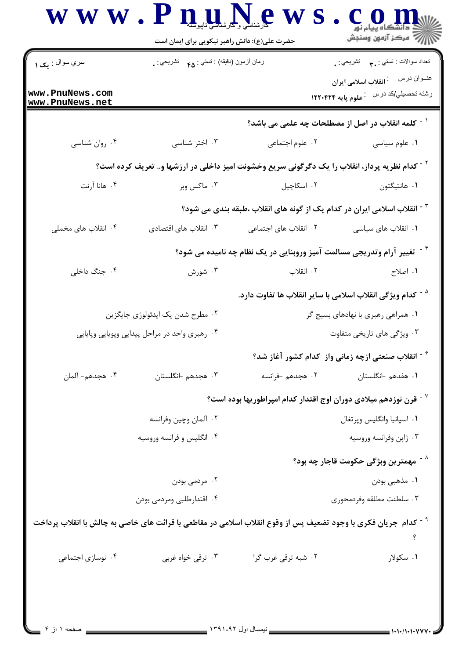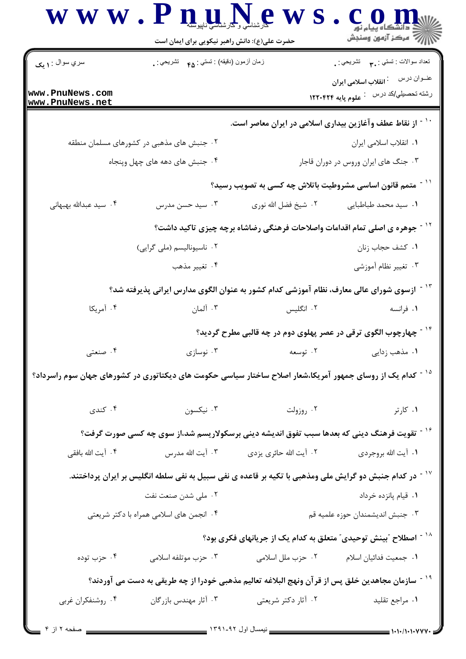|                                    | حضرت علی(ع): دانش راهبر نیکویی برای ایمان است                                                                          |                                                                                        | أأزأته مركز آزمون وسنجش                                                     |  |
|------------------------------------|------------------------------------------------------------------------------------------------------------------------|----------------------------------------------------------------------------------------|-----------------------------------------------------------------------------|--|
| $\parallel$ سري سوال : ۱ یک        | زمان أزمون (دقيقه) : تستي : ۴۵ — تشريحي : .                                                                            |                                                                                        | تعداد سوالات : تستبي : ٩. تشريحي : .                                        |  |
| www.PnuNews.com<br>www.PnuNews.net |                                                                                                                        |                                                                                        | رشته تحصيلي/كد درس لي علوم پايه ۱۲۲۰۴۲۴                                     |  |
|                                    |                                                                                                                        |                                                                                        | <sup>۱۰ -</sup> از نقاط عطف وآغازین بیداری اسلامی در ایران معاصر است.       |  |
|                                    | ۰۲ جنبش های مذهبی در کشورهای مسلمان منطقه                                                                              |                                                                                        | ٠١. انقلاب اسلامي ايران                                                     |  |
|                                    | ۰۴ جنبش های دهه های چهل وپنجاه                                                                                         |                                                                                        | ۰۳ جنگ های ایران وروس در دوران قاجار                                        |  |
|                                    |                                                                                                                        |                                                                                        | <sup>۱۱ -</sup> متمم قانون اساسی مشروطیت باتلاش چه کسی به تصویب رسید؟       |  |
| ۰۴ سید عبدالله بهبهانی             | ۰۳ سید حسن مدرس                                                                                                        | ۰۲ شیخ فضل الله نوری                                                                   | ٠١. سيد محمد طباطبايي                                                       |  |
|                                    |                                                                                                                        | <sup>۱۲ -</sup> جوهره ی اصلی تمام اقدامات واصلاحات فرهنگی رضاشاه برچه چیزی تاکید داشت؟ |                                                                             |  |
|                                    | ۰۲ ناسیونالیسم (ملی گرایی)                                                                                             |                                                                                        | ٠١. كشف حجاب زنان                                                           |  |
|                                    | ۰۴ تغيير مذهب                                                                                                          |                                                                                        | ۰۳ تغییر نظام آموزشی                                                        |  |
|                                    | ۱ <sup>۳ -</sup> ازسوی شورای عالی معارف، نظام آموزشی کدام کشور به عنوان الگوی مدارس ایرانی پذیرفته شد؟                 |                                                                                        |                                                                             |  |
| ۰۴ آمریکا                          | ۰۳ آلمان                                                                                                               | ۰۲ انگلیس                                                                              | ۰۱ فرانسه                                                                   |  |
|                                    |                                                                                                                        |                                                                                        | <sup>۱۴ -</sup> چهارچوب الگوی ترقی در عصر پهلوی دوم در چه قالبی مطرح گردید؟ |  |
| ۰۴ صنعتی                           | نوسازی $\cdot$ ۳ $\cdot$                                                                                               |                                                                                        | ۰۱ مذهب زدایی مسعه استان کاروسیه است                                        |  |
|                                    | <sup>۱۵ -</sup> کدام یک از روسای جمهور آمریکا،شعار اصلاح ساختار سیاسی حکومت های دیکتاتوری در کشورهای جهان سوم راسرداد؟ |                                                                                        |                                                                             |  |
| ۰۴ کندی                            | ۰۳ نیکسون                                                                                                              | ۰۲ روزولت                                                                              | ۰۱ کارتر                                                                    |  |
|                                    | <sup>۱۶ -</sup> تقویت فرهنگ دینی که بعدها سبب تفوق اندیشه دینی برسکولاریسم شد،از سوی چه کس <i>ی ص</i> ورت گرفت؟        |                                                                                        |                                                                             |  |
|                                    | ۰۳ آیت الله مدرس                                                                                                       | ۰۲ آیت الله حائری یزدی                                                                 | ٠١. آيت الله بروجردي                                                        |  |
| ۰۴ آیت الله بافقی                  |                                                                                                                        |                                                                                        |                                                                             |  |
|                                    | ٔ در کدام جنبش دو گرایش ملی ومذهبی با تکیه بر قاعده ی نفی سبیل به نفی سلطه انگلیس بر ایران پرداختند.                   |                                                                                        |                                                                             |  |
|                                    | ۰۲ ملی شدن صنعت نفت                                                                                                    |                                                                                        | ٠١ قيام پانزده خرداد                                                        |  |
|                                    | ۰۴ انجمن های اسلامی همراه با دکتر شریعتی                                                                               |                                                                                        | ۰۳ جنبش انديشمندان حوزه علميه قم                                            |  |
|                                    |                                                                                                                        |                                                                                        | <sup>۱۸ -</sup> اصطلاح ″بینش توحیدی″ متعلق به کدام یک از جریانهای فکری بود؟ |  |
| ۰۴ حزب توده                        | ۰۳ حزب موتلفه اسلامی                                                                                                   | ۰۲ حزب ملل اسلامی                                                                      | ٠١ جمعيت فدائيان اسلام                                                      |  |
|                                    | <sup>۱۹ -</sup> سازمان مجاهدین خلق پس از قرآن ونهج البلاغه تعالیم مذهبی خودرا از چه طریقی به دست می آوردند؟            |                                                                                        |                                                                             |  |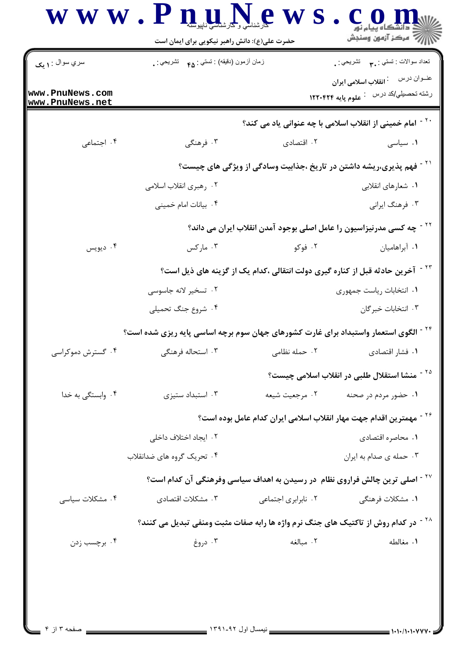|                                    | حضرت علی(ع): دانش راهبر نیکویی برای ایمان است                                                   |                     | أأزأت مركز آزمون وسنجش                                                           |  |
|------------------------------------|-------------------------------------------------------------------------------------------------|---------------------|----------------------------------------------------------------------------------|--|
| سري سوال : ۱ يک                    | زمان أزمون (دقيقه) : تستي : ۴۵ $\bullet$ تشريحي : .                                             |                     | تعداد سوالات : تستبي : ٩. سمب     تشريحي : .                                     |  |
| www.PnuNews.com<br>www.PnuNews.net |                                                                                                 |                     | رشته تحصيلي/كد درس لي علوم پايه ۱۲۲۰۴۲۴                                          |  |
|                                    |                                                                                                 |                     | <sup>۲۰ -</sup> امام خمینی از انقلاب اسلامی با چه عنوانی یاد می کند؟             |  |
| ۰۴ اجتماعی                         | ۰۳ فرهنگی                                                                                       | ۰۲ اقتصادی          | ۰۱ سیاسی                                                                         |  |
|                                    | <sup>۲۱ -</sup> فهم پذیری،ریشه داشتن در تاریخ ،جذابیت وسادگی از ویژگی های چیست؟                 |                     |                                                                                  |  |
|                                    | ۰۲ رهبري انقلاب اسلامي                                                                          |                     | ۰۱ شعارهای انقلابی                                                               |  |
|                                    | ۰۴ بیانات امام خمینی                                                                            |                     | ۰۳ فرهنگ ایرانی                                                                  |  |
|                                    |                                                                                                 |                     | <sup>۲۲ -</sup> چه کسی مدرنیزاسیون را عامل اصلی بوجود آمدن انقلاب ایران می داند؟ |  |
| ۰۴ ديويس                           | ۰۳ مارکس                                                                                        | ۰۲ فوکو             | ۰۱ آبراهامیان                                                                    |  |
|                                    | <sup>۲۳ -</sup> آخرین حادثه قبل از کناره گیری دولت انتقالی ،کدام یک از گزینه های ذیل است؟       |                     |                                                                                  |  |
|                                    | ۰۲ تسخیر لانه جاسوسی                                                                            |                     | ٠١. انتخابات رياست جمهوري                                                        |  |
|                                    | ۰۴ شروع جنگ تحمیلی                                                                              |                     | ۰۳ انتخابات خبرگان                                                               |  |
|                                    | <sup>۲۴ -</sup> الگوی استعمار واستبداد برای غارت کشورهای جهان سوم برچه اساسی پایه ریزی شده است؟ |                     |                                                                                  |  |
| ۰۴ گسترش دموکراسی                  | ۰۳ استحاله فرهنگی                                                                               |                     | ۰۱ فشار اقتصادی مسلسل ۲۰ حمله نظامی                                              |  |
|                                    |                                                                                                 |                     | <sup>۲۵ -</sup> منشا استقلال طلبی در انقلاب اسلامی چیست؟                         |  |
| ۰۴ وابستگی به خدا                  | ۰۳ استبداد ستیزی                                                                                | ٠٢ مرجعيت شيعه      | ۰۱ حضور مردم در صحنه                                                             |  |
|                                    |                                                                                                 |                     | <sup>۲۶ -</sup> مهمترین اقدام جهت مهار انقلاب اسلامی ایران کدام عامل بوده است؟   |  |
|                                    | ۰۲ ایجاد اختلاف داخلی                                                                           |                     | ٠١ محاصره اقتصادى                                                                |  |
|                                    | ۰۴ تحریک گروه های ضدانقلاب                                                                      |                     | ۰۳ حمله ی صدام به ایران                                                          |  |
|                                    | <sup>۲۷ -</sup> اصلی ترین چالش فراروی نظام  در رسیدن به اهداف سیاسی وفرهنگی آن کدام است؟        |                     |                                                                                  |  |
| ۰۴ مشکلات سیاسی                    | ۰۳ مشکلات اقتصادی                                                                               | ۰۲ نابرابری اجتماعی | ۰۱ مشکلات فرهنگی                                                                 |  |
|                                    | <sup>۲۸ -</sup> در کدام روش از تاکتیک های جنگ نرم واژه ها رابه صفات مثبت ومنفی تبدیل می کنند؟   |                     |                                                                                  |  |
| ۰۴ برچسب زدن                       | ۰۳ دروغ                                                                                         | ٠٢ مبالغه           | ٠١. مغالطه                                                                       |  |
|                                    |                                                                                                 |                     |                                                                                  |  |
|                                    |                                                                                                 |                     |                                                                                  |  |
|                                    |                                                                                                 |                     |                                                                                  |  |

 $\blacksquare$